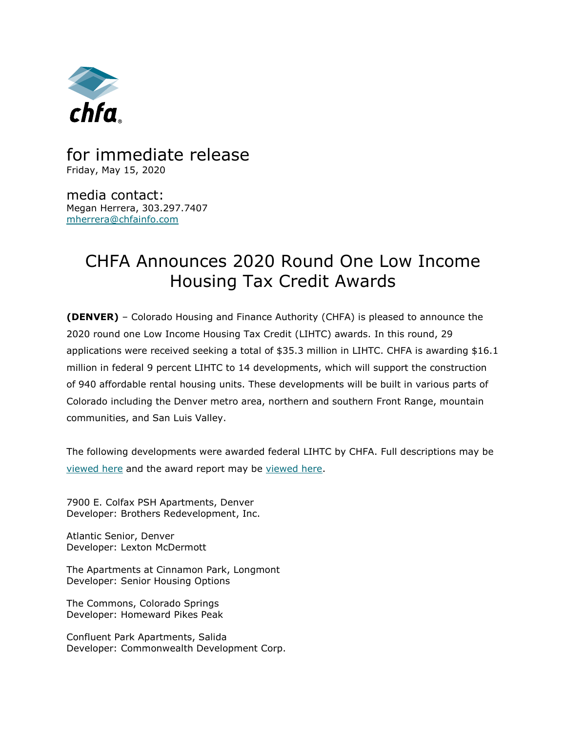

## for immediate release Friday, May 15, 2020

media contact: Megan Herrera, 303.297.7407 [mherrera@chfainfo.com](mailto:mherrera@chfainfo.com)

## CHFA Announces 2020 Round One Low Income Housing Tax Credit Awards

**(DENVER)** – Colorado Housing and Finance Authority (CHFA) is pleased to announce the 2020 round one Low Income Housing Tax Credit (LIHTC) awards. In this round, 29 applications were received seeking a total of \$35.3 million in LIHTC. CHFA is awarding \$16.1 million in federal 9 percent LIHTC to 14 developments, which will support the construction of 940 affordable rental housing units. These developments will be built in various parts of Colorado including the Denver metro area, northern and southern Front Range, mountain communities, and San Luis Valley.

The following developments were awarded federal LIHTC by CHFA. Full descriptions may be [viewed here](http://www.chfainfo.com/arh/lihtc/Pages/2020-round-one-awards.aspx) and the award report may be [viewed here.](http://r20.rs6.net/tn.jsp?e=0012fL-FG_JUQMrh49Ab7y7IgsCN-KjUeR7el6M6hD9AiXOypZ5z1oa0JAP09DUgTbUkLgY8Eu1ZH6-ahLgijsq1QiDl_G3PoN0p2aGop97K06TnoRvizS-N4ebL-vPnij4p07N-YXTkZ1mBSV64WUiaaZke0NHkwB4_VYVa7Xi3Sn9o7jqGXwjrH7d6cbuUVOh)

7900 E. Colfax PSH Apartments, Denver Developer: Brothers Redevelopment, Inc.

Atlantic Senior, Denver Developer: Lexton McDermott

The Apartments at Cinnamon Park, Longmont Developer: Senior Housing Options

The Commons, Colorado Springs Developer: Homeward Pikes Peak

Confluent Park Apartments, Salida Developer: Commonwealth Development Corp.